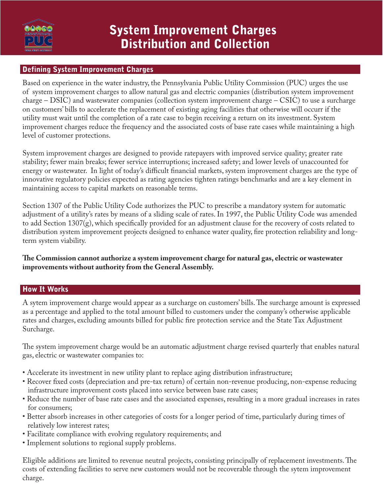

### Defining System Improvement Charges

Based on experience in the water industry, the Pennsylvania Public Utility Commission (PUC) urges the use of system improvement charges to allow natural gas and electric companies (distribution system improvement charge – DSIC) and wastewater companies (collection system improvement charge – CSIC) to use a surcharge on customers' bills to accelerate the replacement of existing aging facilities that otherwise will occurr if the utility must wait until the completion of a rate case to begin receiving a return on its investment. System improvement charges reduce the frequency and the associated costs of base rate cases while maintaining a high level of customer protections.

System improvement charges are designed to provide ratepayers with improved service quality; greater rate stability; fewer main breaks; fewer service interruptions; increased safety; and lower levels of unaccounted for energy or wastewater. In light of today's difficult financial markets, system improvement charges are the type of innovative regulatory policies expected as rating agencies tighten ratings benchmarks and are a key element in maintaining access to capital markets on reasonable terms.

Section 1307 of the Public Utility Code authorizes the PUC to prescribe a mandatory system for automatic adjustment of a utility's rates by means of a sliding scale of rates. In 1997, the Public Utility Code was amended to add Section 1307(g), which specifically provided for an adjustment clause for the recovery of costs related to distribution system improvement projects designed to enhance water quality, fire protection reliability and longterm system viability.

**The Commission cannot authorize a system improvement charge for natural gas, electric or wastewater improvements without authority from the General Assembly.**

### How It Works

A sytem improvement charge would appear as a surcharge on customers' bills. The surcharge amount is expressed as a percentage and applied to the total amount billed to customers under the company's otherwise applicable rates and charges, excluding amounts billed for public fire protection service and the State Tax Adjustment Surcharge.

The system improvement charge would be an automatic adjustment charge revised quarterly that enables natural gas, electric or wastewater companies to:

- Accelerate its investment in new utility plant to replace aging distribution infrastructure;
- Recover fixed costs (depreciation and pre-tax return) of certain non-revenue producing, non-expense reducing infrastructure improvement costs placed into service between base rate cases;
- Reduce the number of base rate cases and the associated expenses, resulting in a more gradual increases in rates for consumers;
- Better absorb increases in other categories of costs for a longer period of time, particularly during times of relatively low interest rates;
- Facilitate compliance with evolving regulatory requirements; and
- Implement solutions to regional supply problems.

Eligible additions are limited to revenue neutral projects, consisting principally of replacement investments. The costs of extending facilities to serve new customers would not be recoverable through the sytem improvement charge.